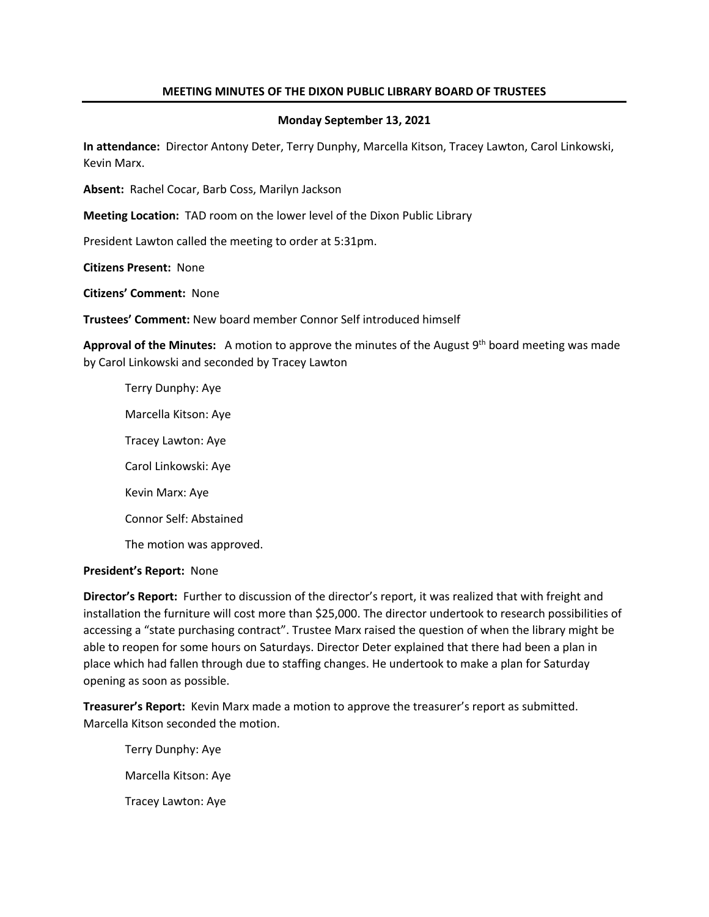### **MEETING MINUTES OF THE DIXON PUBLIC LIBRARY BOARD OF TRUSTEES**

### **Monday September 13, 2021**

**In attendance:** Director Antony Deter, Terry Dunphy, Marcella Kitson, Tracey Lawton, Carol Linkowski, Kevin Marx.

**Absent:** Rachel Cocar, Barb Coss, Marilyn Jackson

**Meeting Location:** TAD room on the lower level of the Dixon Public Library

President Lawton called the meeting to order at 5:31pm.

**Citizens Present:** None

**Citizens' Comment:** None

**Trustees' Comment:** New board member Connor Self introduced himself

Approval of the Minutes: A motion to approve the minutes of the August 9<sup>th</sup> board meeting was made by Carol Linkowski and seconded by Tracey Lawton

Terry Dunphy: Aye Marcella Kitson: Aye Tracey Lawton: Aye Carol Linkowski: Aye Kevin Marx: Aye Connor Self: Abstained The motion was approved.

#### **President's Report:** None

**Director's Report:** Further to discussion of the director's report, it was realized that with freight and installation the furniture will cost more than \$25,000. The director undertook to research possibilities of accessing a "state purchasing contract". Trustee Marx raised the question of when the library might be able to reopen for some hours on Saturdays. Director Deter explained that there had been a plan in place which had fallen through due to staffing changes. He undertook to make a plan for Saturday opening as soon as possible.

**Treasurer's Report:** Kevin Marx made a motion to approve the treasurer's report as submitted. Marcella Kitson seconded the motion.

Terry Dunphy: Aye Marcella Kitson: Aye Tracey Lawton: Aye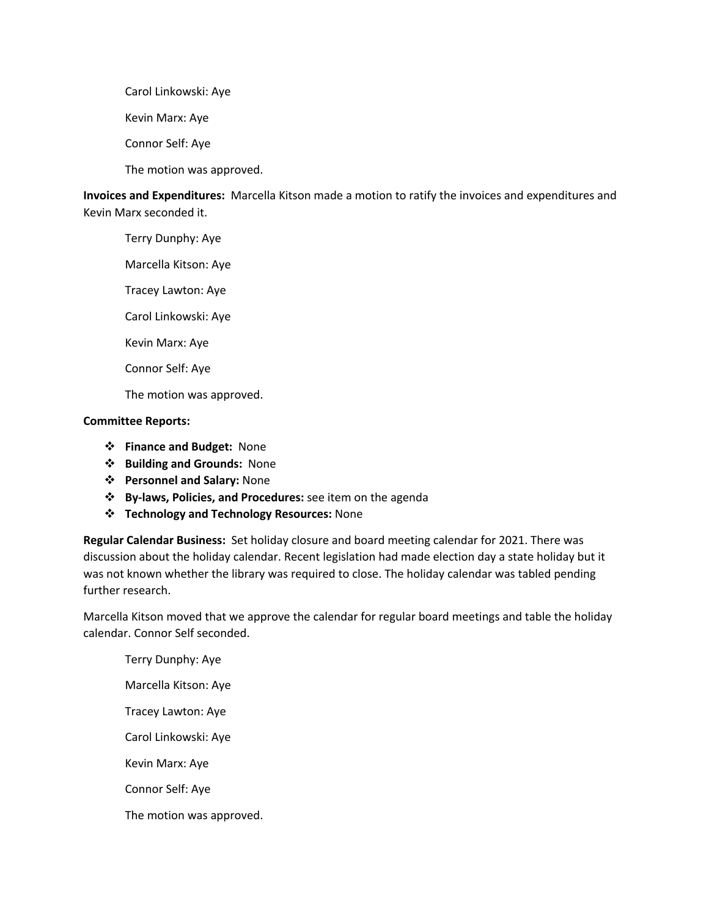Carol Linkowski: Aye Kevin Marx: Aye Connor Self: Aye The motion was approved.

**Invoices and Expenditures:** Marcella Kitson made a motion to ratify the invoices and expenditures and Kevin Marx seconded it.

Terry Dunphy: Aye

Marcella Kitson: Aye

Tracey Lawton: Aye

Carol Linkowski: Aye

Kevin Marx: Aye

Connor Self: Aye

The motion was approved.

# **Committee Reports:**

- v **Finance and Budget:** None
- v **Building and Grounds:** None
- v **Personnel and Salary:** None
- v **By-laws, Policies, and Procedures:** see item on the agenda
- v **Technology and Technology Resources:** None

**Regular Calendar Business:** Set holiday closure and board meeting calendar for 2021. There was discussion about the holiday calendar. Recent legislation had made election day a state holiday but it was not known whether the library was required to close. The holiday calendar was tabled pending further research.

Marcella Kitson moved that we approve the calendar for regular board meetings and table the holiday calendar. Connor Self seconded.

Terry Dunphy: Aye Marcella Kitson: Aye Tracey Lawton: Aye Carol Linkowski: Aye Kevin Marx: Aye Connor Self: Aye The motion was approved.